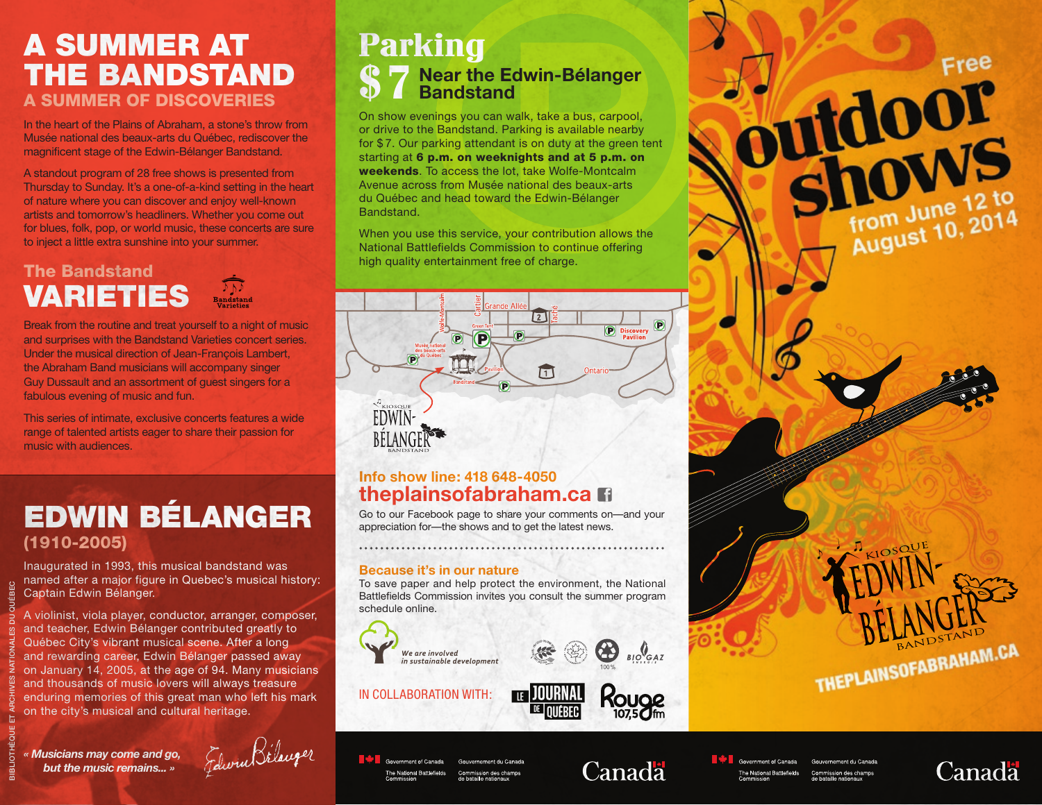## A Summer at the Bandstand A SUMMER OF DISCOVERIES

In the heart of the Plains of Abraham, a stone's throw from Musée national des beaux-arts du Québec, rediscover the magnificent stage of the Edwin-Bélanger Bandstand.

A standout program of 28 free shows is presented from Thursday to Sunday. It's a one-of-a-kind setting in the heart of nature where you can discover and enjoy well-known artists and tomorrow's headliners. Whether you come out for blues, folk, pop, or world music, these concerts are sure to inject a little extra sunshine into your summer.

## The Bandstand Varieties

Break from the routine and treat yourself to a night of music and surprises with the Bandstand Varieties concert series. Under the musical direction of Jean-François Lambert, the Abraham Band musicians will accompany singer Guy Dussault and an assortment of guest singers for a fabulous evening of music and fun.

This series of intimate, exclusive concerts features a wide range of talented artists eager to share their passion for music with audiences.

# Edwin Bélanger (1910-2005)

Inaugurated in 1993, this musical bandstand was named after a major figure in Quebec's musical history: Captain Edwin Bélanger.

A violinist, viola player, conductor, arranger, composer, and teacher, Edwin Bélanger contributed greatly to Québec City's vibrant musical scene. After a long and rewarding career, Edwin Bélanger passed away on January 14, 2005, at the age of 94. Many musicians and thousands of music lovers will always treasure enduring memories of this great man who left his mark on the city's musical and cultural heritage.

*« Musicians may come and go, but the music remains... »*

Bibliothèque et Archives nationales du Québec

Felivin Bélanger

## **Near the Edwin-Bélanger S** 7 Near the Equation Parking

On show evenings you can walk, take a bus, carpool, or drive to the Bandstand. Parking is available nearby for \$ 7. Our parking attendant is on duty at the green tent starting at 6 p.m. on weeknights and at 5 p.m. on weekends. To access the lot, take Wolfe-Montcalm Avenue across from Musée national des beaux-arts du Québec and head toward the Edwin-Bélanger **Bandstand** 

When you use this service, your contribution allows the National Battlefields Commission to continue offering high quality entertainment free of charge.



### **Info show line: 418 648-4050 theplainsofabraham.ca**

Go to our Facebook page to share your comments on—and your appreciation for—the shows and to get the latest news.

#### **Because it's in our nature**

To save paper and help protect the environment, the National Battlefields Commission invites you consult the summer program schedule online.





In collaboration with:

Government of Canada

The National Battlefields



# Canada

Government of Canada The National Battlefields

Canada

THEPLAINSOFABRAHAM.CA

Free

from June 12 to<br>August 10, 2014

outdoor<br>Shows